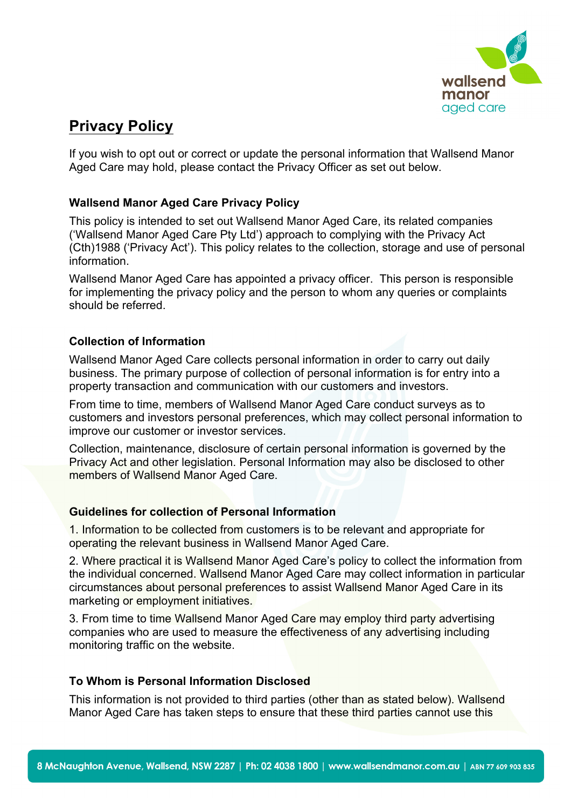

# **Privacy Policy**

If you wish to opt out or correct or update the personal information that Wallsend Manor Aged Care may hold, please contact the Privacy Officer as set out below.

# **Wallsend Manor Aged Care Privacy Policy**

This policy is intended to set out Wallsend Manor Aged Care, its related companies ('Wallsend Manor Aged Care Pty Ltd') approach to complying with the Privacy Act (Cth)1988 ('Privacy Act'). This policy relates to the collection, storage and use of personal information.

Wallsend Manor Aged Care has appointed a privacy officer. This person is responsible for implementing the privacy policy and the person to whom any queries or complaints should be referred.

# **Collection of Information**

Wallsend Manor Aged Care collects personal information in order to carry out daily business. The primary purpose of collection of personal information is for entry into a property transaction and communication with our customers and investors.

From time to time, members of Wallsend Manor Aged Care conduct surveys as to customers and investors personal preferences, which may collect personal information to improve our customer or investor services.

Collection, maintenance, disclosure of certain personal information is governed by the Privacy Act and other legislation. Personal Information may also be disclosed to other members of Wallsend Manor Aged Care.

# **Guidelines for collection of Personal Information**

1. Information to be collected from customers is to be relevant and appropriate for operating the relevant business in Wallsend Manor Aged Care.

2. Where practical it is Wallsend Manor Aged Care's policy to collect the information from the individual concerned. Wallsend Manor Aged Care may collect information in particular circumstances about personal preferences to assist Wallsend Manor Aged Care in its marketing or employment initiatives.

3. From time to time Wallsend Manor Aged Care may employ third party advertising companies who are used to measure the effectiveness of any advertising including monitoring traffic on the website.

# **To Whom is Personal Information Disclosed**

This information is not provided to third parties (other than as stated below). Wallsend Manor Aged Care has taken steps to ensure that these third parties cannot use this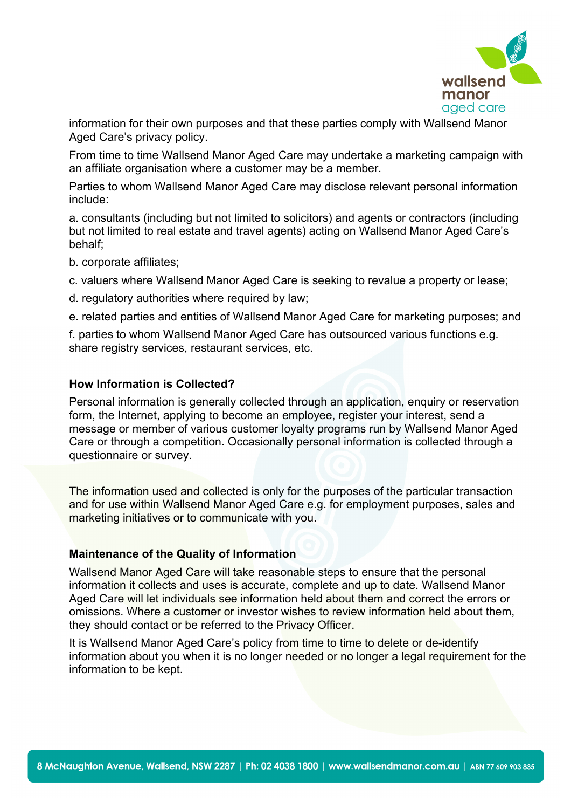

information for their own purposes and that these parties comply with Wallsend Manor Aged Care's privacy policy.

From time to time Wallsend Manor Aged Care may undertake a marketing campaign with an affiliate organisation where a customer may be a member.

Parties to whom Wallsend Manor Aged Care may disclose relevant personal information include:

a. consultants (including but not limited to solicitors) and agents or contractors (including but not limited to real estate and travel agents) acting on Wallsend Manor Aged Care's behalf;

- b. corporate affiliates;
- c. valuers where Wallsend Manor Aged Care is seeking to revalue a property or lease;
- d. regulatory authorities where required by law;

e. related parties and entities of Wallsend Manor Aged Care for marketing purposes; and

f. parties to whom Wallsend Manor Aged Care has outsourced various functions e.g. share registry services, restaurant services, etc.

## **How Information is Collected?**

Personal information is generally collected through an application, enquiry or reservation form, the Internet, applying to become an employee, register your interest, send a message or member of various customer loyalty programs run by Wallsend Manor Aged Care or through a competition. Occasionally personal information is collected through a questionnaire or survey.

The information used and collected is only for the purposes of the particular transaction and for use within Wallsend Manor Aged Care e.g. for employment purposes, sales and marketing initiatives or to communicate with you.

## **Maintenance of the Quality of Information**

Wallsend Manor Aged Care will take reasonable steps to ensure that the personal information it collects and uses is accurate, complete and up to date. Wallsend Manor Aged Care will let individuals see information held about them and correct the errors or omissions. Where a customer or investor wishes to review information held about them, they should contact or be referred to the Privacy Officer.

It is Wallsend Manor Aged Care's policy from time to time to delete or de-identify information about you when it is no longer needed or no longer a legal requirement for the information to be kept.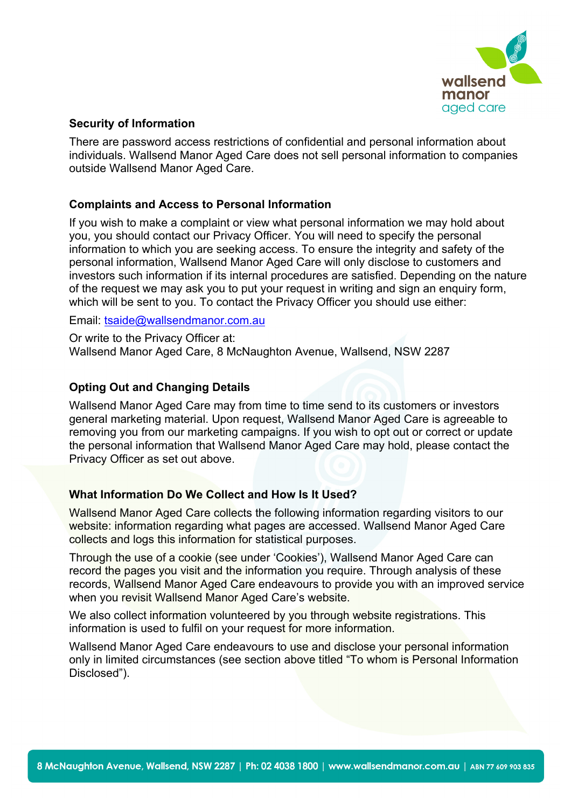

#### **Security of Information**

There are password access restrictions of confidential and personal information about individuals. Wallsend Manor Aged Care does not sell personal information to companies outside Wallsend Manor Aged Care.

## **Complaints and Access to Personal Information**

If you wish to make a complaint or view what personal information we may hold about you, you should contact our Privacy Officer. You will need to specify the personal information to which you are seeking access. To ensure the integrity and safety of the personal information, Wallsend Manor Aged Care will only disclose to customers and investors such information if its internal procedures are satisfied. Depending on the nature of the request we may ask you to put your request in writing and sign an enquiry form, which will be sent to you. To contact the Privacy Officer you should use either:

Email: [tsaide@wallsendmanor.com.au](mailto:tsaide@wallsendmanor.com.au)

Or write to the Privacy Officer at: Wallsend Manor Aged Care, 8 McNaughton Avenue, Wallsend, NSW 2287

## **Opting Out and Changing Details**

Wallsend Manor Aged Care may from time to time send to its customers or investors general marketing material. Upon request, Wallsend Manor Aged Care is agreeable to removing you from our marketing campaigns. If you wish to opt out or correct or update the personal information that Wallsend Manor Aged Care may hold, please contact the Privacy Officer as set out above.

## **What Information Do We Collect and How Is It Used?**

Wallsend Manor Aged Care collects the following information regarding visitors to our website: information regarding what pages are accessed. Wallsend Manor Aged Care collects and logs this information for statistical purposes.

Through the use of a cookie (see under 'Cookies'), Wallsend Manor Aged Care can record the pages you visit and the information you require. Through analysis of these records, Wallsend Manor Aged Care endeavours to provide you with an improved service when you revisit Wallsend Manor Aged Care's website.

We also collect information volunteered by you through website registrations. This information is used to fulfil on your request for more information.

Wallsend Manor Aged Care endeavours to use and disclose your personal information only in limited circumstances (see section above titled "To whom is Personal Information Disclosed").